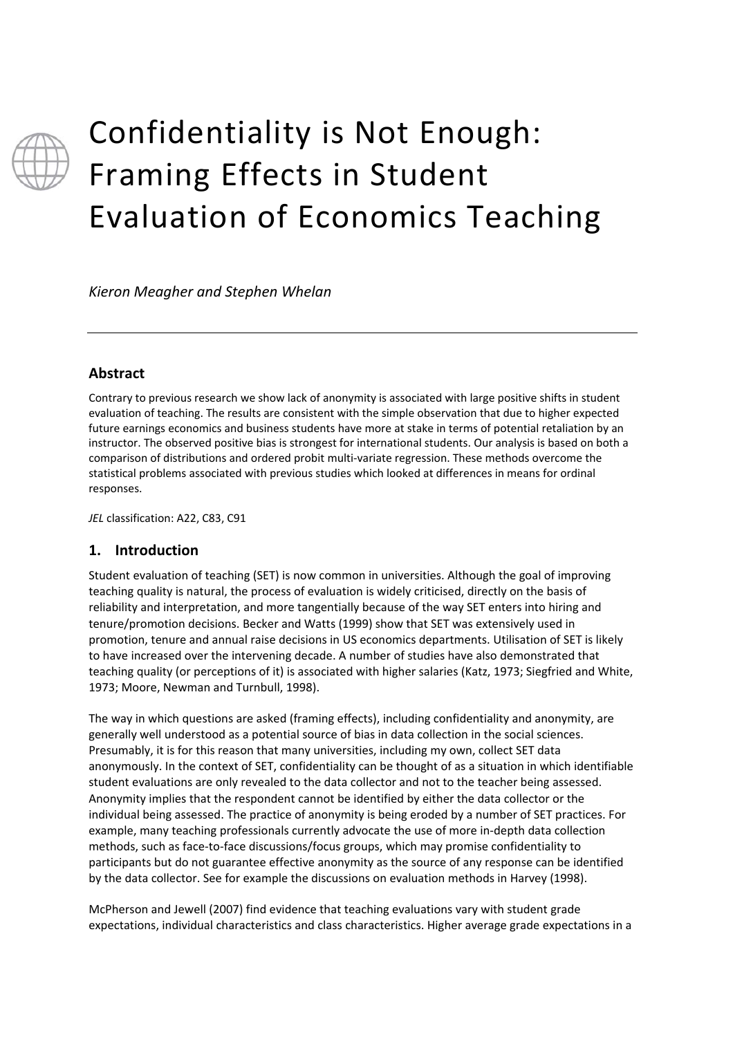

# Confidentiality is Not Enough: Framing Effects in Student Evaluation of Economics Teaching

*Kieron Meagher and Stephen Whelan* 

### **Abstract**

Contrary to previous research we show lack of anonymity is associated with large positive shifts in student evaluation of teaching. The results are consistent with the simple observation that due to higher expected future earnings economics and business students have more at stake in terms of potential retaliation by an instructor. The observed positive bias is strongest for international students. Our analysis is based on both a comparison of distributions and ordered probit multi‐variate regression. These methods overcome the statistical problems associated with previous studies which looked at differences in means for ordinal responses.

*JEL* classification: A22, C83, C91

## **1. Introduction**

Student evaluation of teaching (SET) is now common in universities. Although the goal of improving teaching quality is natural, the process of evaluation is widely criticised, directly on the basis of reliability and interpretation, and more tangentially because of the way SET enters into hiring and tenure/promotion decisions. Becker and Watts (1999) show that SET was extensively used in promotion, tenure and annual raise decisions in US economics departments. Utilisation of SET is likely to have increased over the intervening decade. A number of studies have also demonstrated that teaching quality (or perceptions of it) is associated with higher salaries (Katz, 1973; Siegfried and White, 1973; Moore, Newman and Turnbull, 1998).

The way in which questions are asked (framing effects), including confidentiality and anonymity, are generally well understood as a potential source of bias in data collection in the social sciences. Presumably, it is for this reason that many universities, including my own, collect SET data anonymously. In the context of SET, confidentiality can be thought of as a situation in which identifiable student evaluations are only revealed to the data collector and not to the teacher being assessed. Anonymity implies that the respondent cannot be identified by either the data collector or the individual being assessed. The practice of anonymity is being eroded by a number of SET practices. For example, many teaching professionals currently advocate the use of more in‐depth data collection methods, such as face-to-face discussions/focus groups, which may promise confidentiality to participants but do not guarantee effective anonymity as the source of any response can be identified by the data collector. See for example the discussions on evaluation methods in Harvey (1998).

McPherson and Jewell (2007) find evidence that teaching evaluations vary with student grade expectations, individual characteristics and class characteristics. Higher average grade expectations in a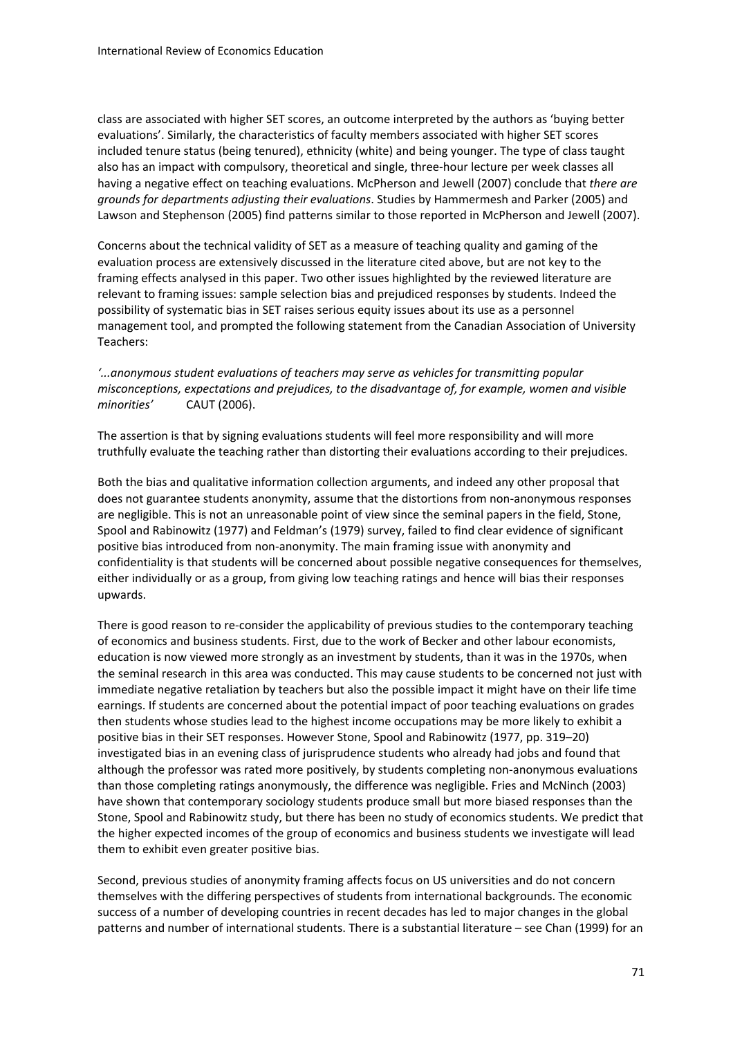class are associated with higher SET scores, an outcome interpreted by the authors as 'buying better evaluations'. Similarly, the characteristics of faculty members associated with higher SET scores included tenure status (being tenured), ethnicity (white) and being younger. The type of class taught also has an impact with compulsory, theoretical and single, three-hour lecture per week classes all having a negative effect on teaching evaluations. McPherson and Jewell (2007) conclude that *there are grounds for departments adjusting their evaluations*. Studies by Hammermesh and Parker (2005) and Lawson and Stephenson (2005) find patterns similar to those reported in McPherson and Jewell (2007).

Concerns about the technical validity of SET as a measure of teaching quality and gaming of the evaluation process are extensively discussed in the literature cited above, but are not key to the framing effects analysed in this paper. Two other issues highlighted by the reviewed literature are relevant to framing issues: sample selection bias and prejudiced responses by students. Indeed the possibility of systematic bias in SET raises serious equity issues about its use as a personnel management tool, and prompted the following statement from the Canadian Association of University Teachers:

*'...anonymous student evaluations of teachers may serve as vehicles for transmitting popular misconceptions, expectations and prejudices, to the disadvantage of, for example, women and visible minorities'* CAUT (2006).

The assertion is that by signing evaluations students will feel more responsibility and will more truthfully evaluate the teaching rather than distorting their evaluations according to their prejudices.

Both the bias and qualitative information collection arguments, and indeed any other proposal that does not guarantee students anonymity, assume that the distortions from non‐anonymous responses are negligible. This is not an unreasonable point of view since the seminal papers in the field, Stone, Spool and Rabinowitz (1977) and Feldman's (1979) survey, failed to find clear evidence of significant positive bias introduced from non‐anonymity. The main framing issue with anonymity and confidentiality is that students will be concerned about possible negative consequences for themselves, either individually or as a group, from giving low teaching ratings and hence will bias their responses upwards.

There is good reason to re‐consider the applicability of previous studies to the contemporary teaching of economics and business students. First, due to the work of Becker and other labour economists, education is now viewed more strongly as an investment by students, than it was in the 1970s, when the seminal research in this area was conducted. This may cause students to be concerned not just with immediate negative retaliation by teachers but also the possible impact it might have on their life time earnings. If students are concerned about the potential impact of poor teaching evaluations on grades then students whose studies lead to the highest income occupations may be more likely to exhibit a positive bias in their SET responses. However Stone, Spool and Rabinowitz (1977, pp. 319–20) investigated bias in an evening class of jurisprudence students who already had jobs and found that although the professor was rated more positively, by students completing non-anonymous evaluations than those completing ratings anonymously, the difference was negligible. Fries and McNinch (2003) have shown that contemporary sociology students produce small but more biased responses than the Stone, Spool and Rabinowitz study, but there has been no study of economics students. We predict that the higher expected incomes of the group of economics and business students we investigate will lead them to exhibit even greater positive bias.

Second, previous studies of anonymity framing affects focus on US universities and do not concern themselves with the differing perspectives of students from international backgrounds. The economic success of a number of developing countries in recent decades has led to major changes in the global patterns and number of international students. There is a substantial literature – see Chan (1999) for an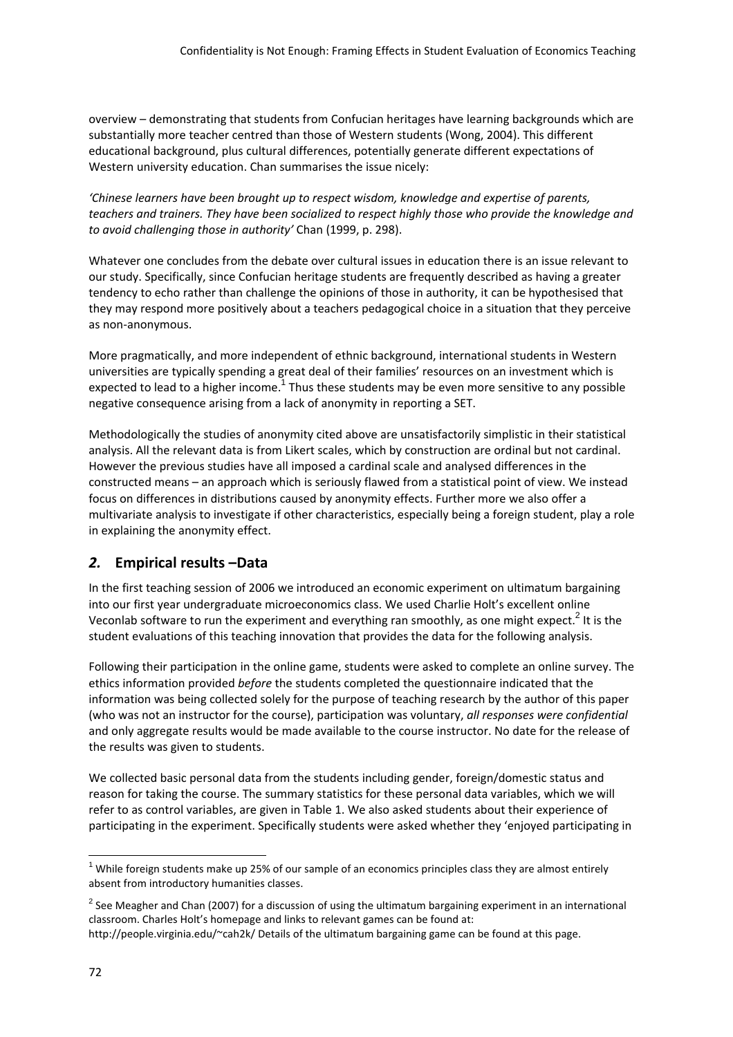overview – demonstrating that students from Confucian heritages have learning backgrounds which are substantially more teacher centred than those of Western students (Wong, 2004). This different educational background, plus cultural differences, potentially generate different expectations of Western university education. Chan summarises the issue nicely:

*'Chinese learners have been brought up to respect wisdom, knowledge and expertise of parents, teachers and trainers. They have been socialized to respect highly those who provide the knowledge and to avoid challenging those in authority'* Chan (1999, p. 298).

Whatever one concludes from the debate over cultural issues in education there is an issue relevant to our study. Specifically, since Confucian heritage students are frequently described as having a greater tendency to echo rather than challenge the opinions of those in authority, it can be hypothesised that they may respond more positively about a teachers pedagogical choice in a situation that they perceive as non‐anonymous.

More pragmatically, and more independent of ethnic background, international students in Western universities are typically spending a great deal of their families' resources on an investment which is expected to lead to a higher income.<sup>1</sup> Thus these students may be even more sensitive to any possible negative consequence arising from a lack of anonymity in reporting a SET.

Methodologically the studies of anonymity cited above are unsatisfactorily simplistic in their statistical analysis. All the relevant data is from Likert scales, which by construction are ordinal but not cardinal. However the previous studies have all imposed a cardinal scale and analysed differences in the constructed means – an approach which is seriously flawed from a statistical point of view. We instead focus on differences in distributions caused by anonymity effects. Further more we also offer a multivariate analysis to investigate if other characteristics, especially being a foreign student, play a role in explaining the anonymity effect.

## *2.* **Empirical results –Data**

In the first teaching session of 2006 we introduced an economic experiment on ultimatum bargaining into our first year undergraduate microeconomics class. We used Charlie Holt's excellent online Veconlab software to run the experiment and everything ran smoothly, as one might expect.<sup>2</sup> It is the student evaluations of this teaching innovation that provides the data for the following analysis.

Following their participation in the online game, students were asked to complete an online survey. The ethics information provided *before* the students completed the questionnaire indicated that the information was being collected solely for the purpose of teaching research by the author of this paper (who was not an instructor for the course), participation was voluntary, *all responses were confidential* and only aggregate results would be made available to the course instructor. No date for the release of the results was given to students.

We collected basic personal data from the students including gender, foreign/domestic status and reason for taking the course. The summary statistics for these personal data variables, which we will refer to as control variables, are given in Table 1. We also asked students about their experience of participating in the experiment. Specifically students were asked whether they 'enjoyed participating in

 $1$  While foreign students make up 25% of our sample of an economics principles class they are almost entirely absent from introductory humanities classes.

<sup>&</sup>lt;sup>2</sup> See Meagher and Chan (2007) for a discussion of using the ultimatum bargaining experiment in an international classroom. Charles Holt's homepage and links to relevant games can be found at: http://people.virginia.edu/~cah2k/ Details of the ultimatum bargaining game can be found at this page.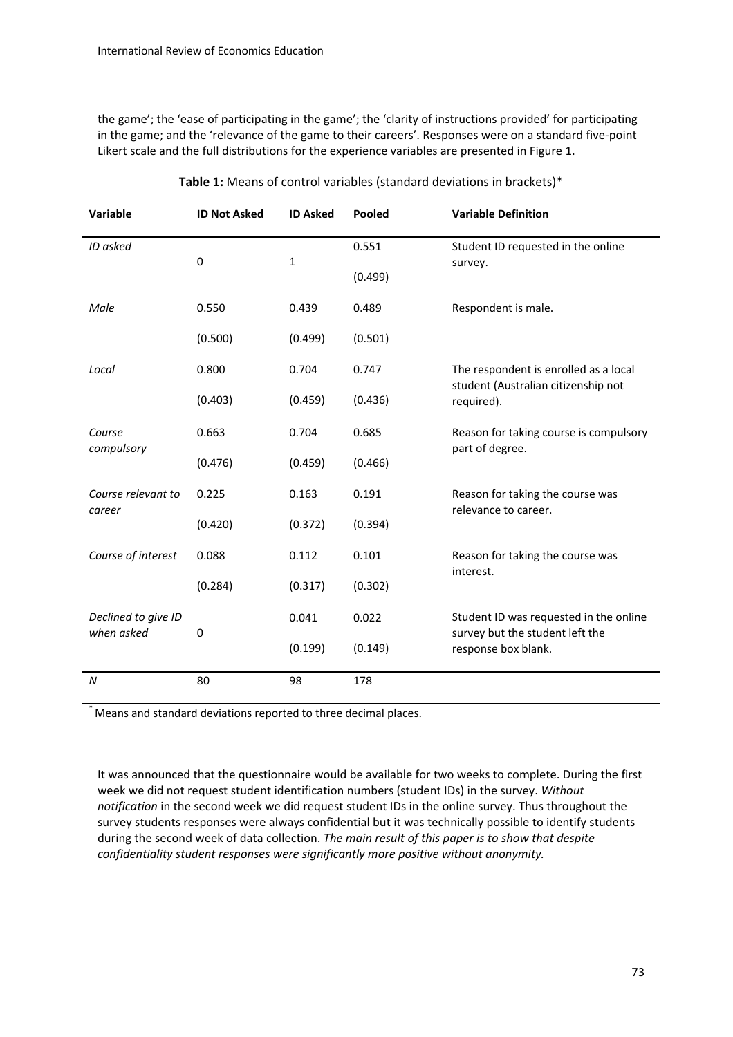the game'; the 'ease of participating in the game'; the 'clarity of instructions provided' for participating in the game; and the 'relevance of the game to their careers'. Responses were on a standard five-point Likert scale and the full distributions for the experience variables are presented in Figure 1.

| Variable                          | <b>ID Not Asked</b> | <b>ID Asked</b> | <b>Pooled</b> | <b>Variable Definition</b>                                                   |
|-----------------------------------|---------------------|-----------------|---------------|------------------------------------------------------------------------------|
| ID asked                          | $\mathbf 0$         | $\mathbf 1$     | 0.551         | Student ID requested in the online<br>survey.                                |
|                                   |                     |                 | (0.499)       |                                                                              |
| Male                              | 0.550               | 0.439           | 0.489         | Respondent is male.                                                          |
|                                   | (0.500)             | (0.499)         | (0.501)       |                                                                              |
| Local                             | 0.800               | 0.704           | 0.747         | The respondent is enrolled as a local<br>student (Australian citizenship not |
|                                   | (0.403)             | (0.459)         | (0.436)       | required).                                                                   |
| Course<br>compulsory              | 0.663               | 0.704           | 0.685         | Reason for taking course is compulsory<br>part of degree.                    |
|                                   | (0.476)             | (0.459)         | (0.466)       |                                                                              |
| Course relevant to<br>career      | 0.225               | 0.163           | 0.191         | Reason for taking the course was<br>relevance to career.                     |
|                                   | (0.420)             | (0.372)         | (0.394)       |                                                                              |
| Course of interest                | 0.088               | 0.112           | 0.101         | Reason for taking the course was<br>interest.                                |
|                                   | (0.284)             | (0.317)         | (0.302)       |                                                                              |
| Declined to give ID<br>when asked | $\mathbf 0$         | 0.041           | 0.022         | Student ID was requested in the online<br>survey but the student left the    |
|                                   |                     | (0.199)         | (0.149)       | response box blank.                                                          |
| $\boldsymbol{N}$                  | 80                  | 98              | 178           |                                                                              |

| Table 1: Means of control variables (standard deviations in brackets)* |  |  |  |
|------------------------------------------------------------------------|--|--|--|
|                                                                        |  |  |  |

\* Means and standard deviations reported to three decimal places.

It was announced that the questionnaire would be available for two weeks to complete. During the first week we did not request student identification numbers (student IDs) in the survey. *Without notification* in the second week we did request student IDs in the online survey. Thus throughout the survey students responses were always confidential but it was technically possible to identify students during the second week of data collection. *The main result of this paper is to show that despite confidentiality student responses were significantly more positive without anonymity.*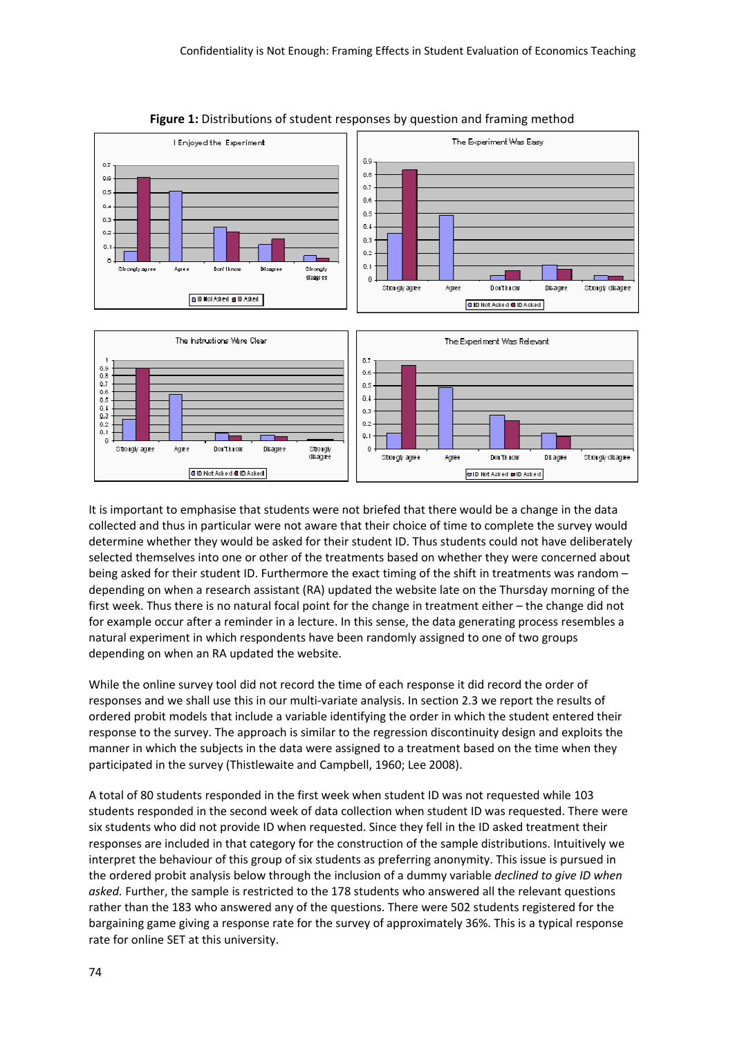

**Figure 1:** Distributions of student responses by question and framing method

It is important to emphasise that students were not briefed that there would be a change in the data collected and thus in particular were not aware that their choice of time to complete the survey would determine whether they would be asked for their student ID. Thus students could not have deliberately selected themselves into one or other of the treatments based on whether they were concerned about being asked for their student ID. Furthermore the exact timing of the shift in treatments was random – depending on when a research assistant (RA) updated the website late on the Thursday morning of the first week. Thus there is no natural focal point for the change in treatment either – the change did not for example occur after a reminder in a lecture. In this sense, the data generating process resembles a natural experiment in which respondents have been randomly assigned to one of two groups depending on when an RA updated the website.

While the online survey tool did not record the time of each response it did record the order of responses and we shall use this in our multi‐variate analysis. In section 2.3 we report the results of ordered probit models that include a variable identifying the order in which the student entered their response to the survey. The approach is similar to the regression discontinuity design and exploits the manner in which the subjects in the data were assigned to a treatment based on the time when they participated in the survey (Thistlewaite and Campbell, 1960; Lee 2008).

A total of 80 students responded in the first week when student ID was not requested while 103 students responded in the second week of data collection when student ID was requested. There were six students who did not provide ID when requested. Since they fell in the ID asked treatment their responses are included in that category for the construction of the sample distributions. Intuitively we interpret the behaviour of this group of six students as preferring anonymity. This issue is pursued in the ordered probit analysis below through the inclusion of a dummy variable *declined to give ID when asked.* Further, the sample is restricted to the 178 students who answered all the relevant questions rather than the 183 who answered any of the questions. There were 502 students registered for the bargaining game giving a response rate for the survey of approximately 36%. This is a typical response rate for online SET at this university.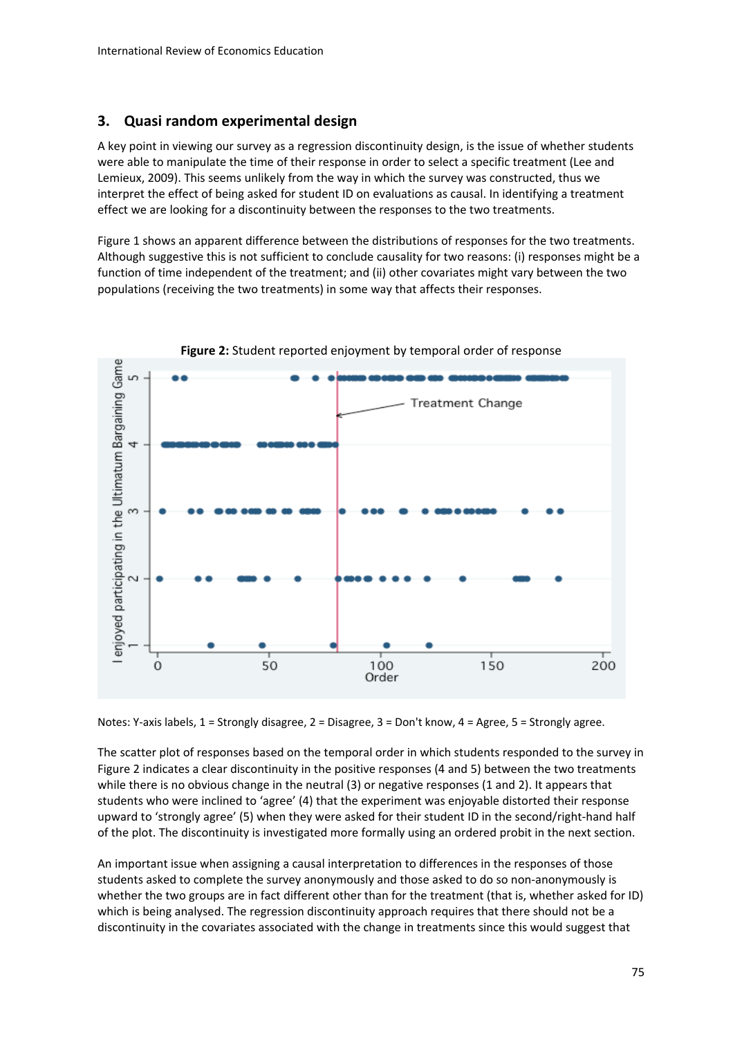## **3. Quasi random experimental design**

A key point in viewing our survey as a regression discontinuity design, is the issue of whether students were able to manipulate the time of their response in order to select a specific treatment (Lee and Lemieux, 2009). This seems unlikely from the way in which the survey was constructed, thus we interpret the effect of being asked for student ID on evaluations as causal. In identifying a treatment effect we are looking for a discontinuity between the responses to the two treatments.

Figure 1 shows an apparent difference between the distributions of responses for the two treatments. Although suggestive this is not sufficient to conclude causality for two reasons: (i) responses might be a function of time independent of the treatment; and (ii) other covariates might vary between the two populations (receiving the two treatments) in some way that affects their responses.



**Figure 2:** Student reported enjoyment by temporal order of response

Notes: Y‐axis labels, 1 = Strongly disagree, 2 = Disagree, 3 = Don't know, 4 = Agree, 5 = Strongly agree.

The scatter plot of responses based on the temporal order in which students responded to the survey in Figure 2 indicates a clear discontinuity in the positive responses (4 and 5) between the two treatments while there is no obvious change in the neutral (3) or negative responses (1 and 2). It appears that students who were inclined to 'agree' (4) that the experiment was enjoyable distorted their response upward to 'strongly agree' (5) when they were asked for their student ID in the second/right‐hand half of the plot. The discontinuity is investigated more formally using an ordered probit in the next section.

An important issue when assigning a causal interpretation to differences in the responses of those students asked to complete the survey anonymously and those asked to do so non‐anonymously is whether the two groups are in fact different other than for the treatment (that is, whether asked for ID) which is being analysed. The regression discontinuity approach requires that there should not be a discontinuity in the covariates associated with the change in treatments since this would suggest that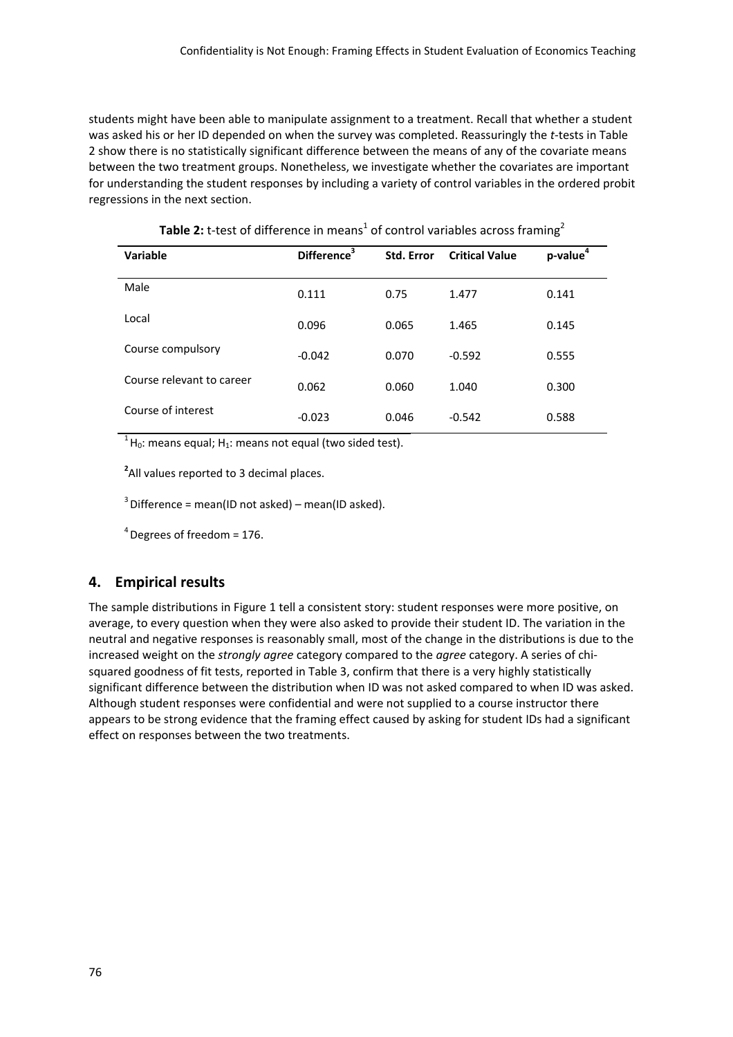students might have been able to manipulate assignment to a treatment. Recall that whether a student was asked his or her ID depended on when the survey was completed. Reassuringly the *t*-tests in Table 2 show there is no statistically significant difference between the means of any of the covariate means between the two treatment groups. Nonetheless, we investigate whether the covariates are important for understanding the student responses by including a variety of control variables in the ordered probit regressions in the next section.

| Variable                  | Difference <sup>3</sup> | <b>Std. Error</b> | <b>Critical Value</b> | p-value <sup>4</sup> |
|---------------------------|-------------------------|-------------------|-----------------------|----------------------|
| Male                      | 0.111                   | 0.75              | 1.477                 | 0.141                |
| Local                     | 0.096                   | 0.065             | 1.465                 | 0.145                |
| Course compulsory         | $-0.042$                | 0.070             | $-0.592$              | 0.555                |
| Course relevant to career | 0.062                   | 0.060             | 1.040                 | 0.300                |
| Course of interest        | $-0.023$                | 0.046             | $-0.542$              | 0.588                |

**Table 2:** t-test of difference in means<sup>1</sup> of control variables across framing<sup>2</sup>

 $^{1}$ H<sub>0</sub>: means equal; H<sub>1</sub>: means not equal (two sided test).

**2** All values reported to 3 decimal places.

 $3$  Difference = mean(ID not asked) – mean(ID asked).

 $<sup>4</sup>$  Degrees of freedom = 176.</sup>

## **4. Empirical results**

The sample distributions in Figure 1 tell a consistent story: student responses were more positive, on average, to every question when they were also asked to provide their student ID. The variation in the neutral and negative responses is reasonably small, most of the change in the distributions is due to the increased weight on the *strongly agree* category compared to the *agree* category. A series of chi‐ squared goodness of fit tests, reported in Table 3, confirm that there is a very highly statistically significant difference between the distribution when ID was not asked compared to when ID was asked. Although student responses were confidential and were not supplied to a course instructor there appears to be strong evidence that the framing effect caused by asking for student IDs had a significant effect on responses between the two treatments.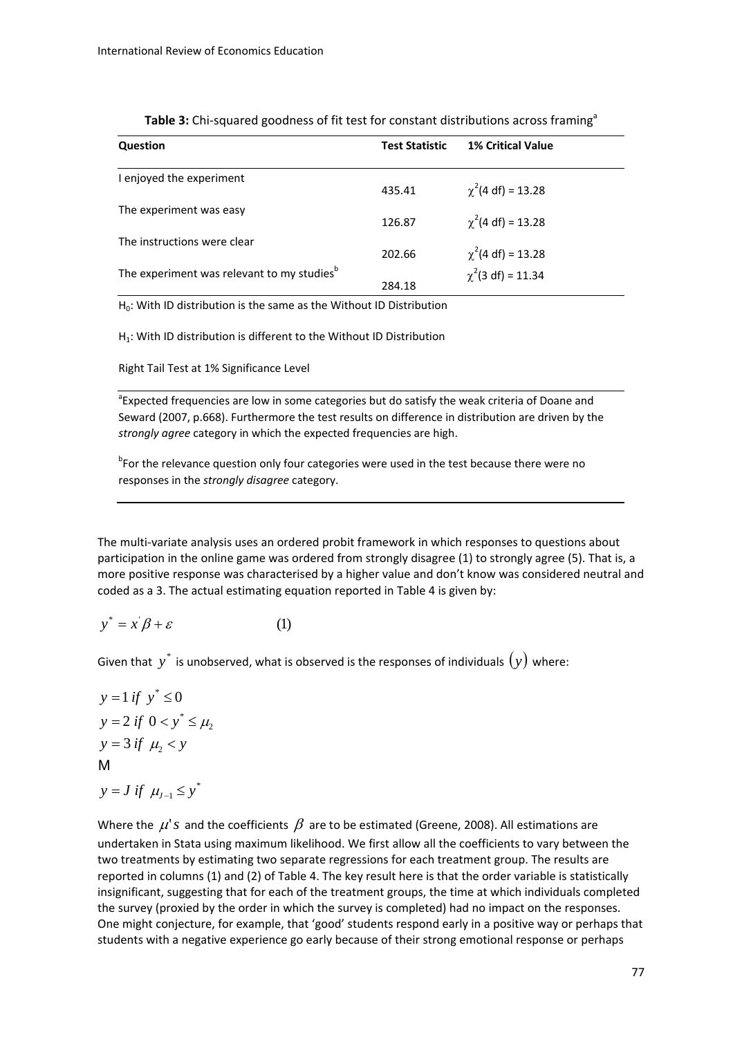| Question                                               | <b>Test Statistic</b> | <b>1% Critical Value</b> |
|--------------------------------------------------------|-----------------------|--------------------------|
| I enjoyed the experiment                               | 435.41                | $\chi^2$ (4 df) = 13.28  |
| The experiment was easy                                | 126.87                | $\chi^2$ (4 df) = 13.28  |
| The instructions were clear                            | 202.66                | $\chi^2$ (4 df) = 13.28  |
| The experiment was relevant to my studies <sup>b</sup> | 284.18                | $\chi^2$ (3 df) = 11.34  |

**Table 3:** Chi-squared goodness of fit test for constant distributions across framing<sup>a</sup>

H<sub>0</sub>: With ID distribution is the same as the Without ID Distribution

 $H_1$ : With ID distribution is different to the Without ID Distribution

Right Tail Test at 1% Significance Level

<sup>a</sup>Expected frequencies are low in some categories but do satisfy the weak criteria of Doane and Seward (2007, p.668). Furthermore the test results on difference in distribution are driven by the *strongly agree* category in which the expected frequencies are high.

<sup>b</sup>For the relevance question only four categories were used in the test because there were no responses in the *strongly disagree* category.

The multi‐variate analysis uses an ordered probit framework in which responses to questions about participation in the online game was ordered from strongly disagree (1) to strongly agree (5). That is, a more positive response was characterised by a higher value and don't know was considered neutral and coded as a 3. The actual estimating equation reported in Table 4 is given by:

$$
y^* = x^{\prime} \beta + \varepsilon \tag{1}
$$

Given that  $y^*$  is unobserved, what is observed is the responses of individuals  $(y)$  where:

 $y = J$  *if*  $\mu_{J-1} \leq y^*$ *y* = 1 *if*  $y^*$  ≤ 0 *y* = 2 *if*  $0 < y^* \le \mu$ *y* = 3 *if*  $\mu_2$  < *y* M

Where the  $\mu's$  and the coefficients  $\beta$  are to be estimated (Greene, 2008). All estimations are undertaken in Stata using maximum likelihood. We first allow all the coefficients to vary between the two treatments by estimating two separate regressions for each treatment group. The results are reported in columns (1) and (2) of Table 4. The key result here is that the order variable is statistically insignificant, suggesting that for each of the treatment groups, the time at which individuals completed the survey (proxied by the order in which the survey is completed) had no impact on the responses. One might conjecture, for example, that 'good' students respond early in a positive way or perhaps that students with a negative experience go early because of their strong emotional response or perhaps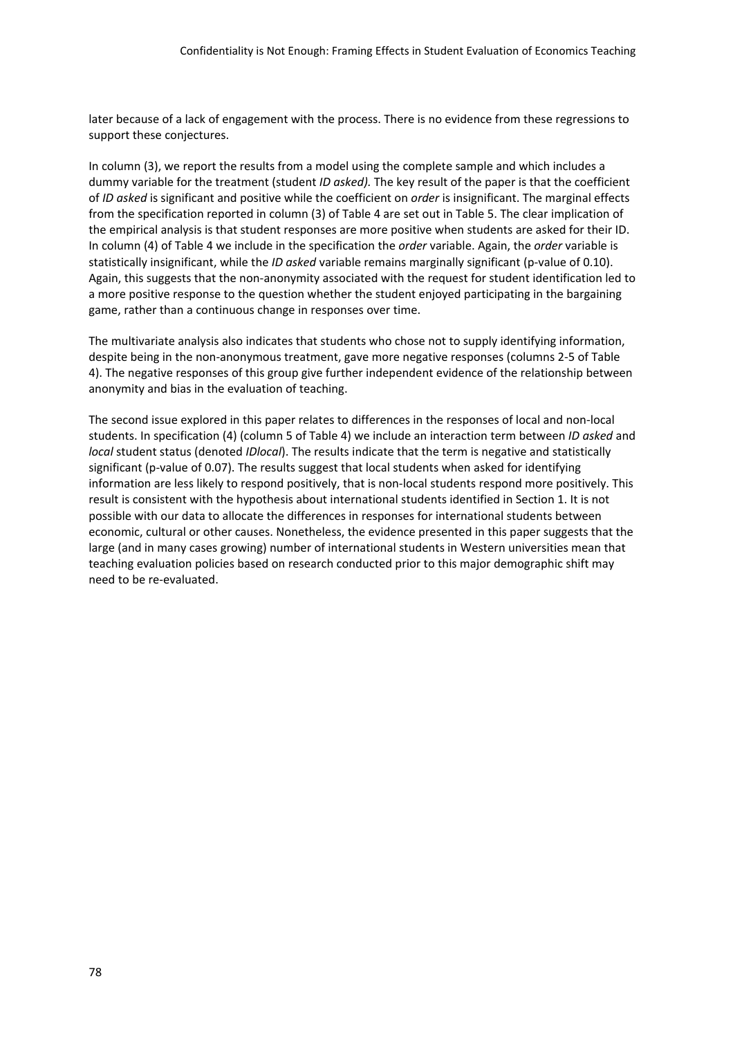later because of a lack of engagement with the process. There is no evidence from these regressions to support these conjectures.

In column (3), we report the results from a model using the complete sample and which includes a dummy variable for the treatment (student *ID asked).* The key result of the paper is that the coefficient of *ID asked* is significant and positive while the coefficient on *order* is insignificant. The marginal effects from the specification reported in column (3) of Table 4 are set out in Table 5. The clear implication of the empirical analysis is that student responses are more positive when students are asked for their ID. In column (4) of Table 4 we include in the specification the *order* variable. Again, the *order* variable is statistically insignificant, while the *ID asked* variable remains marginally significant (p‐value of 0.10). Again, this suggests that the non‐anonymity associated with the request for student identification led to a more positive response to the question whether the student enjoyed participating in the bargaining game, rather than a continuous change in responses over time.

The multivariate analysis also indicates that students who chose not to supply identifying information, despite being in the non‐anonymous treatment, gave more negative responses (columns 2‐5 of Table 4). The negative responses of this group give further independent evidence of the relationship between anonymity and bias in the evaluation of teaching.

The second issue explored in this paper relates to differences in the responses of local and non‐local students. In specification (4) (column 5 of Table 4) we include an interaction term between *ID asked* and *local* student status (denoted *IDlocal*). The results indicate that the term is negative and statistically significant (p-value of 0.07). The results suggest that local students when asked for identifying information are less likely to respond positively, that is non‐local students respond more positively. This result is consistent with the hypothesis about international students identified in Section 1. It is not possible with our data to allocate the differences in responses for international students between economic, cultural or other causes. Nonetheless, the evidence presented in this paper suggests that the large (and in many cases growing) number of international students in Western universities mean that teaching evaluation policies based on research conducted prior to this major demographic shift may need to be re‐evaluated.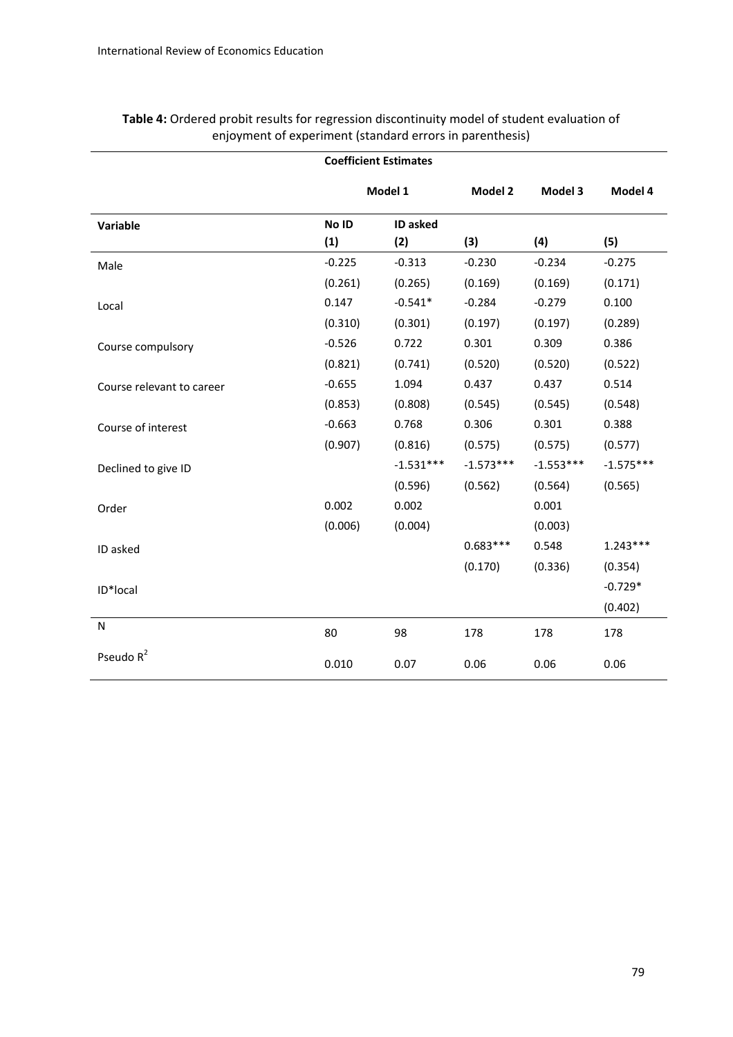|                           | <b>Coefficient Estimates</b> |                 |             |             |             |
|---------------------------|------------------------------|-----------------|-------------|-------------|-------------|
|                           | Model 1                      |                 | Model 2     | Model 3     | Model 4     |
| Variable                  | No ID<br>(1)                 | ID asked<br>(2) | (3)         | (4)         | (5)         |
| Male                      | $-0.225$                     | $-0.313$        | $-0.230$    | $-0.234$    | $-0.275$    |
|                           | (0.261)                      | (0.265)         | (0.169)     | (0.169)     | (0.171)     |
| Local                     | 0.147                        | $-0.541*$       | $-0.284$    | $-0.279$    | 0.100       |
|                           | (0.310)                      | (0.301)         | (0.197)     | (0.197)     | (0.289)     |
| Course compulsory         | $-0.526$                     | 0.722           | 0.301       | 0.309       | 0.386       |
|                           | (0.821)                      | (0.741)         | (0.520)     | (0.520)     | (0.522)     |
| Course relevant to career | $-0.655$                     | 1.094           | 0.437       | 0.437       | 0.514       |
|                           | (0.853)                      | (0.808)         | (0.545)     | (0.545)     | (0.548)     |
| Course of interest        | $-0.663$                     | 0.768           | 0.306       | 0.301       | 0.388       |
|                           | (0.907)                      | (0.816)         | (0.575)     | (0.575)     | (0.577)     |
| Declined to give ID       |                              | $-1.531***$     | $-1.573***$ | $-1.553***$ | $-1.575***$ |
|                           |                              | (0.596)         | (0.562)     | (0.564)     | (0.565)     |
| Order                     | 0.002                        | 0.002           |             | 0.001       |             |
|                           | (0.006)                      | (0.004)         |             | (0.003)     |             |
| ID asked                  |                              |                 | $0.683***$  | 0.548       | $1.243***$  |
|                           |                              |                 | (0.170)     | (0.336)     | (0.354)     |
| ID*local                  |                              |                 |             |             | $-0.729*$   |
|                           |                              |                 |             |             | (0.402)     |
| N                         | 80                           | 98              | 178         | 178         | 178         |
| Pseudo $R^2$              | 0.010                        | 0.07            | 0.06        | 0.06        | 0.06        |

### **Table 4:** Ordered probit results for regression discontinuity model of student evaluation of enjoyment of experiment (standard errors in parenthesis)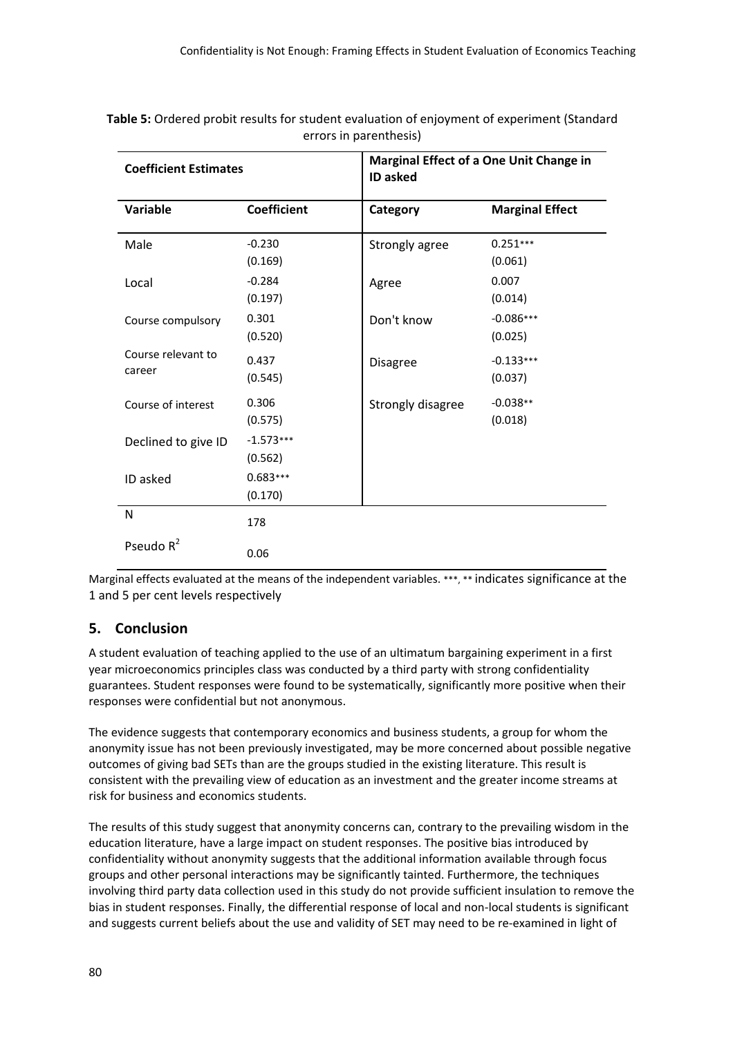| <b>Coefficient Estimates</b> |                        | Marginal Effect of a One Unit Change in<br><b>ID</b> asked |                        |  |  |
|------------------------------|------------------------|------------------------------------------------------------|------------------------|--|--|
| <b>Variable</b>              | <b>Coefficient</b>     | Category                                                   | <b>Marginal Effect</b> |  |  |
| Male                         | $-0.230$<br>(0.169)    | Strongly agree                                             | $0.251***$<br>(0.061)  |  |  |
| Local                        | $-0.284$<br>(0.197)    | Agree                                                      | 0.007<br>(0.014)       |  |  |
| Course compulsory            | 0.301<br>(0.520)       | Don't know                                                 | $-0.086***$<br>(0.025) |  |  |
| Course relevant to<br>career | 0.437<br>(0.545)       | Disagree                                                   | $-0.133***$<br>(0.037) |  |  |
| Course of interest           | 0.306<br>(0.575)       | Strongly disagree                                          | $-0.038**$<br>(0.018)  |  |  |
| Declined to give ID          | $-1.573***$<br>(0.562) |                                                            |                        |  |  |
| ID asked                     | $0.683***$<br>(0.170)  |                                                            |                        |  |  |
| ${\sf N}$                    | 178                    |                                                            |                        |  |  |
| Pseudo $R^2$                 | 0.06                   |                                                            |                        |  |  |

**Table 5:** Ordered probit results for student evaluation of enjoyment of experiment (Standard errors in parenthesis)

Marginal effects evaluated at the means of the independent variables. \*\*\*, \*\* indicates significance at the 1 and 5 per cent levels respectively

## **5. Conclusion**

A student evaluation of teaching applied to the use of an ultimatum bargaining experiment in a first year microeconomics principles class was conducted by a third party with strong confidentiality guarantees. Student responses were found to be systematically, significantly more positive when their responses were confidential but not anonymous.

The evidence suggests that contemporary economics and business students, a group for whom the anonymity issue has not been previously investigated, may be more concerned about possible negative outcomes of giving bad SETs than are the groups studied in the existing literature. This result is consistent with the prevailing view of education as an investment and the greater income streams at risk for business and economics students.

The results of this study suggest that anonymity concerns can, contrary to the prevailing wisdom in the education literature, have a large impact on student responses. The positive bias introduced by confidentiality without anonymity suggests that the additional information available through focus groups and other personal interactions may be significantly tainted. Furthermore, the techniques involving third party data collection used in this study do not provide sufficient insulation to remove the bias in student responses. Finally, the differential response of local and non‐local students is significant and suggests current beliefs about the use and validity of SET may need to be re-examined in light of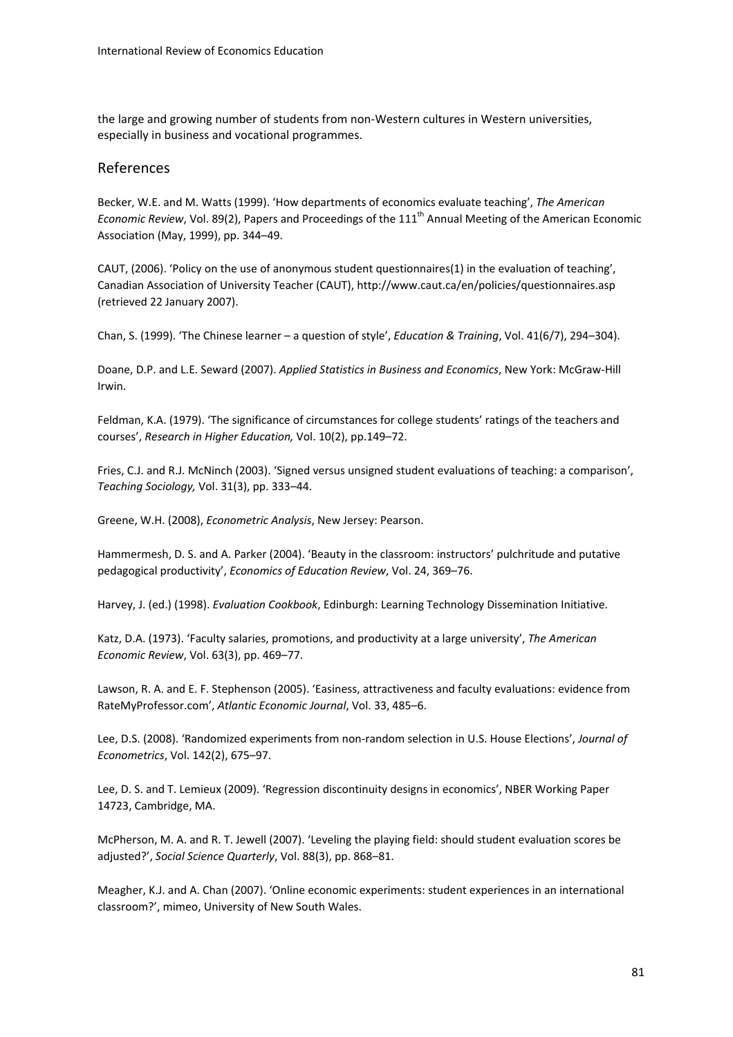the large and growing number of students from non‐Western cultures in Western universities, especially in business and vocational programmes.

#### References

Becker, W.E. and M. Watts (1999). 'How departments of economics evaluate teaching', *The American Economic Review, Vol. 89(2), Papers and Proceedings of the 111<sup>th</sup> Annual Meeting of the American Economic* Association (May, 1999), pp. 344–49.

CAUT, (2006). 'Policy on the use of anonymous student questionnaires(1) in the evaluation of teaching', Canadian Association of University Teacher (CAUT), http://www.caut.ca/en/policies/questionnaires.asp (retrieved 22 January 2007).

Chan, S. (1999). 'The Chinese learner – a question of style', *Education & Training*, Vol. 41(6/7), 294–304).

Doane, D.P. and L.E. Seward (2007). *Applied Statistics in Business and Economics*, New York: McGraw‐Hill Irwin.

Feldman, K.A. (1979). 'The significance of circumstances for college students' ratings of the teachers and courses', *Research in Higher Education,* Vol. 10(2), pp.149–72.

Fries, C.J. and R.J. McNinch (2003). 'Signed versus unsigned student evaluations of teaching: a comparison', *Teaching Sociology,* Vol. 31(3), pp. 333–44.

Greene, W.H. (2008), *Econometric Analysis*, New Jersey: Pearson.

Hammermesh, D. S. and A. Parker (2004). 'Beauty in the classroom: instructors' pulchritude and putative pedagogical productivity', *Economics of Education Review*, Vol. 24, 369–76.

Harvey, J. (ed.) (1998). *Evaluation Cookbook*, Edinburgh: Learning Technology Dissemination Initiative.

Katz, D.A. (1973). 'Faculty salaries, promotions, and productivity at a large university', *The American Economic Review*, Vol. 63(3), pp. 469–77.

Lawson, R. A. and E. F. Stephenson (2005). 'Easiness, attractiveness and faculty evaluations: evidence from RateMyProfessor.com', *Atlantic Economic Journal*, Vol. 33, 485–6.

Lee, D.S. (2008). 'Randomized experiments from non‐random selection in U.S. House Elections', *Journal of Econometrics*, Vol. 142(2), 675–97.

Lee, D. S. and T. Lemieux (2009). 'Regression discontinuity designs in economics', NBER Working Paper 14723, Cambridge, MA.

McPherson, M. A. and R. T. Jewell (2007). 'Leveling the playing field: should student evaluation scores be adjusted?', *Social Science Quarterly*, Vol. 88(3), pp. 868–81.

Meagher, K.J. and A. Chan (2007). 'Online economic experiments: student experiences in an international classroom?', mimeo, University of New South Wales.